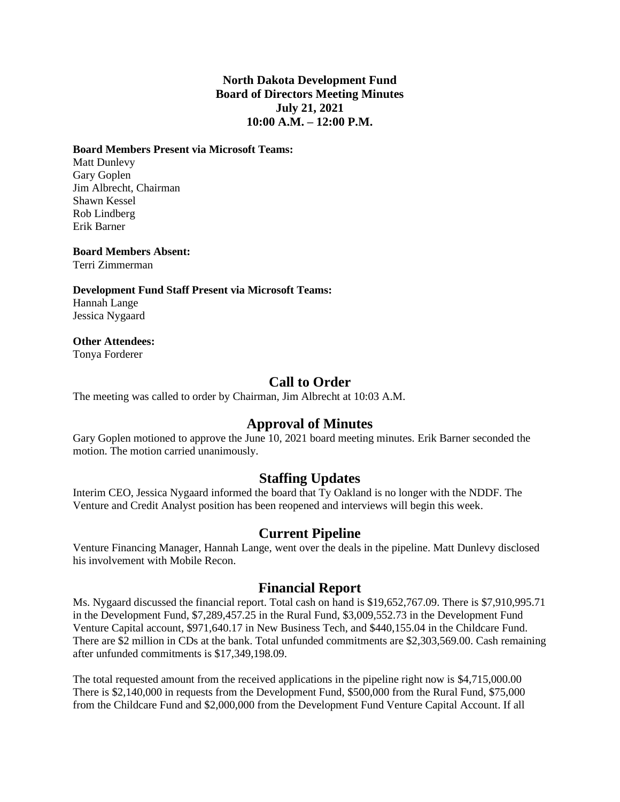#### **North Dakota Development Fund Board of Directors Meeting Minutes July 21, 2021 10:00 A.M. – 12:00 P.M.**

#### **Board Members Present via Microsoft Teams:**

Matt Dunlevy Gary Goplen Jim Albrecht, Chairman Shawn Kessel Rob Lindberg Erik Barner

#### **Board Members Absent:**

Terri Zimmerman

**Development Fund Staff Present via Microsoft Teams:** Hannah Lange Jessica Nygaard

#### **Other Attendees:**

Tonya Forderer

# **Call to Order**

The meeting was called to order by Chairman, Jim Albrecht at 10:03 A.M.

# **Approval of Minutes**

Gary Goplen motioned to approve the June 10, 2021 board meeting minutes. Erik Barner seconded the motion. The motion carried unanimously.

# **Staffing Updates**

Interim CEO, Jessica Nygaard informed the board that Ty Oakland is no longer with the NDDF. The Venture and Credit Analyst position has been reopened and interviews will begin this week.

# **Current Pipeline**

Venture Financing Manager, Hannah Lange, went over the deals in the pipeline. Matt Dunlevy disclosed his involvement with Mobile Recon.

# **Financial Report**

Ms. Nygaard discussed the financial report. Total cash on hand is \$19,652,767.09. There is \$7,910,995.71 in the Development Fund, \$7,289,457.25 in the Rural Fund, \$3,009,552.73 in the Development Fund Venture Capital account, \$971,640.17 in New Business Tech, and \$440,155.04 in the Childcare Fund. There are \$2 million in CDs at the bank. Total unfunded commitments are \$2,303,569.00. Cash remaining after unfunded commitments is \$17,349,198.09.

The total requested amount from the received applications in the pipeline right now is \$4,715,000.00 There is \$2,140,000 in requests from the Development Fund, \$500,000 from the Rural Fund, \$75,000 from the Childcare Fund and \$2,000,000 from the Development Fund Venture Capital Account. If all